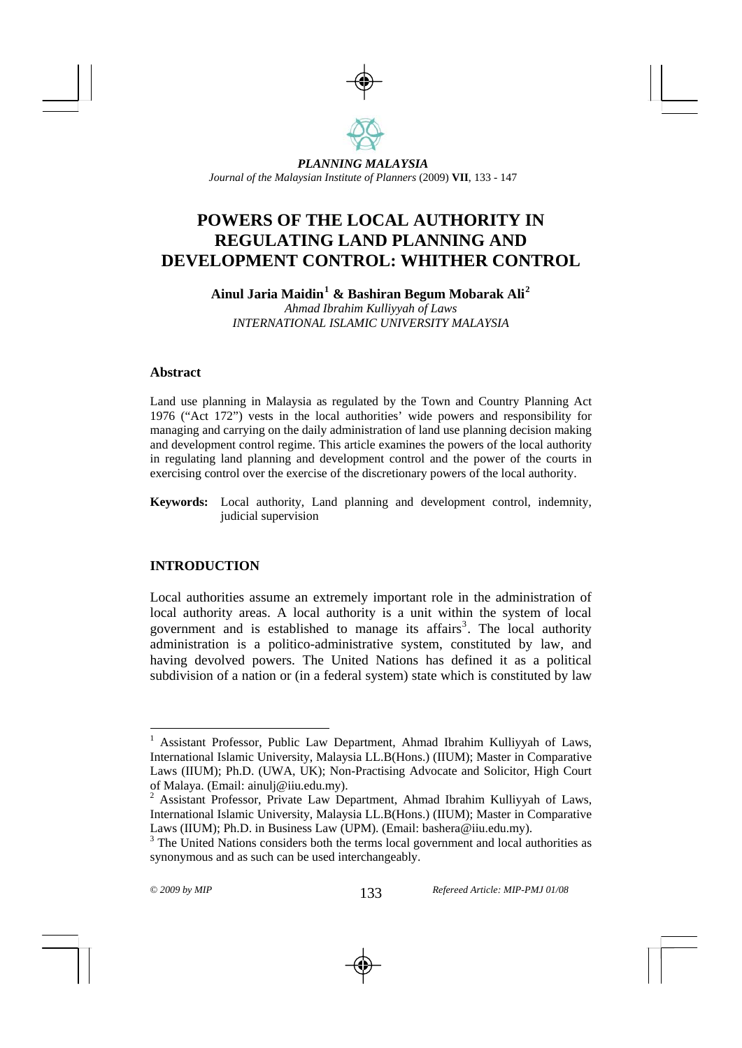

 *PLANNING MALAYSIA PLANNING MALAYSIA Journal of the Malaysian Institute of Planners (2009) Journal of the Malaysian Institute of Planners* (2009) **VII**, 133 - 147

# **POWERS OF THE LOCAL AUTHORITY IN REGULATING LAND PLANNING AND DEVELOPMENT CONTROL: WHITHER CONTROL**

**Ainul Jaria Maidin[1](#page-0-0) & Bashiran Begum Mobarak Ali[2](#page-0-1)** *Ahmad Ibrahim Kulliyyah of Laws INTERNATIONAL ISLAMIC UNIVERSITY MALAYSIA* 

#### **Abstract**

Land use planning in Malaysia as regulated by the Town and Country Planning Act 1976 ("Act 172") vests in the local authorities' wide powers and responsibility for managing and carrying on the daily administration of land use planning decision making and development control regime. This article examines the powers of the local authority in regulating land planning and development control and the power of the courts in exercising control over the exercise of the discretionary powers of the local authority.

**Keywords:** Local authority, Land planning and development control, indemnity, judicial supervision

### **INTRODUCTION**

Local authorities assume an extremely important role in the administration of local authority areas. A local authority is a unit within the system of local government and is established to manage its affairs<sup>[3](#page-0-2)</sup>. The local authority administration is a politico-administrative system, constituted by law, and having devolved powers. The United Nations has defined it as a political subdivision of a nation or (in a federal system) state which is constituted by law

<span id="page-0-0"></span><sup>1</sup> Assistant Professor, Public Law Department, Ahmad Ibrahim Kulliyyah of Laws, International Islamic University, Malaysia LL.B(Hons.) (IIUM); Master in Comparative Laws (IIUM); Ph.D. (UWA, UK); Non-Practising Advocate and Solicitor, High Court of Malaya. (Email: ainulj@iiu.edu.my).

<span id="page-0-1"></span> $2$  Assistant Professor, Private Law Department, Ahmad Ibrahim Kulliyyah of Laws, International Islamic University, Malaysia LL.B(Hons.) (IIUM); Master in Comparative Laws (IIUM); Ph.D. in Business Law (UPM). (Email: bashera@iiu.edu.my).

<span id="page-0-2"></span> $3$  The United Nations considers both the terms local government and local authorities as synonymous and as such can be used interchangeably.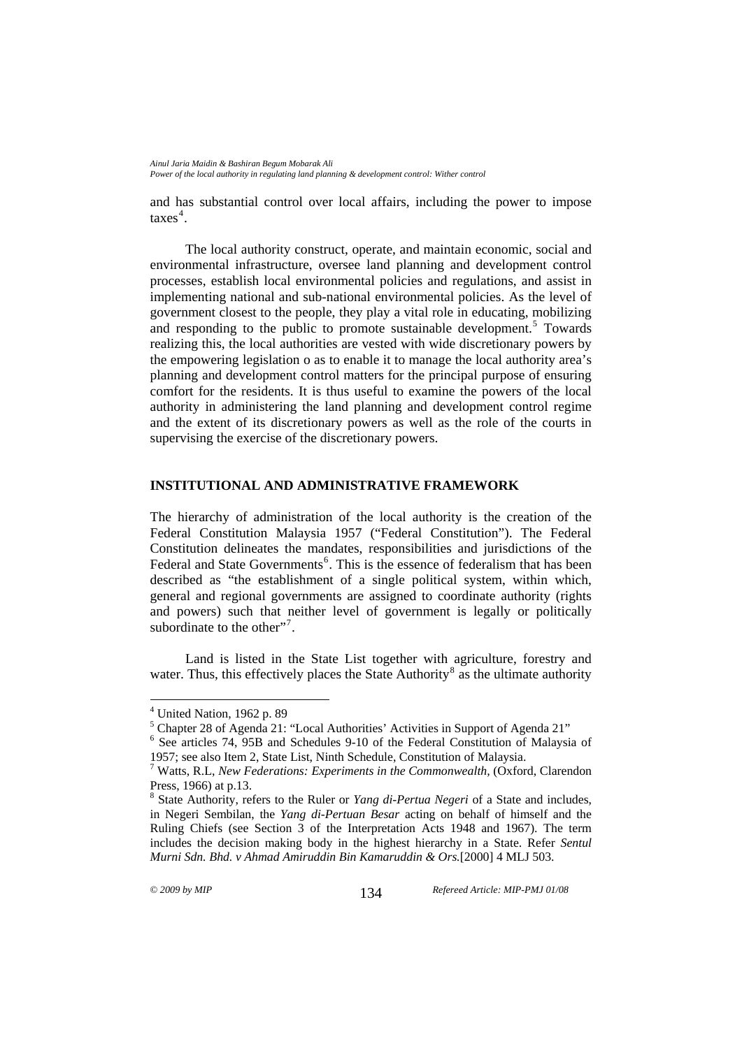and has substantial control over local affairs, including the power to impose  $\arccos^4$  $\arccos^4$ .

The local authority construct, operate, and maintain economic, social and environmental infrastructure, oversee land planning and development control processes, establish local environmental policies and regulations, and assist in implementing national and sub-national environmental policies. As the level of government closest to the people, they play a vital role in educating, mobilizing and responding to the public to promote sustainable development.<sup>[5](#page-1-1)</sup> Towards realizing this, the local authorities are vested with wide discretionary powers by the empowering legislation o as to enable it to manage the local authority area's planning and development control matters for the principal purpose of ensuring comfort for the residents. It is thus useful to examine the powers of the local authority in administering the land planning and development control regime and the extent of its discretionary powers as well as the role of the courts in supervising the exercise of the discretionary powers.

#### **INSTITUTIONAL AND ADMINISTRATIVE FRAMEWORK**

The hierarchy of administration of the local authority is the creation of the Federal Constitution Malaysia 1957 ("Federal Constitution"). The Federal Constitution delineates the mandates, responsibilities and jurisdictions of the Federal and State Governments<sup>[6](#page-1-2)</sup>. This is the essence of federalism that has been described as "the establishment of a single political system, within which, general and regional governments are assigned to coordinate authority (rights and powers) such that neither level of government is legally or politically subordinate to the other"<sup>[7](#page-1-3)</sup>.

Land is listed in the State List together with agriculture, forestry and water. Thus, this effectively places the State Authority<sup>[8](#page-1-4)</sup> as the ultimate authority

<sup>4</sup> United Nation, 1962 p. 89

<span id="page-1-0"></span><sup>&</sup>lt;sup>5</sup> Chapter 28 of Agenda 21: "Local Authorities' Activities in Support of Agenda 21"<br><sup>6</sup> See extinles 74, 95P and Schedules 0, 10 of the Eaderal Constitution of Maleysis

<span id="page-1-2"></span><span id="page-1-1"></span> $6$  See articles 74, 95B and Schedules 9-10 of the Federal Constitution of Malaysia of 1957; see also Item 2, State List, Ninth Schedule, Constitution of Malaysia.

<span id="page-1-3"></span><sup>7</sup> Watts, R.L, *New Federations: Experiments in the Commonwealth,* (Oxford, Clarendon Press, 1966) at p.13.

<span id="page-1-4"></span><sup>8</sup> State Authority, refers to the Ruler or *Yang di-Pertua Negeri* of a State and includes, in Negeri Sembilan, the *Yang di-Pertuan Besar* acting on behalf of himself and the Ruling Chiefs (see Section 3 of the Interpretation Acts 1948 and 1967). The term includes the decision making body in the highest hierarchy in a State. Refer *Sentul Murni Sdn. Bhd. v Ahmad Amiruddin Bin Kamaruddin & Ors.*[2000] 4 MLJ 503.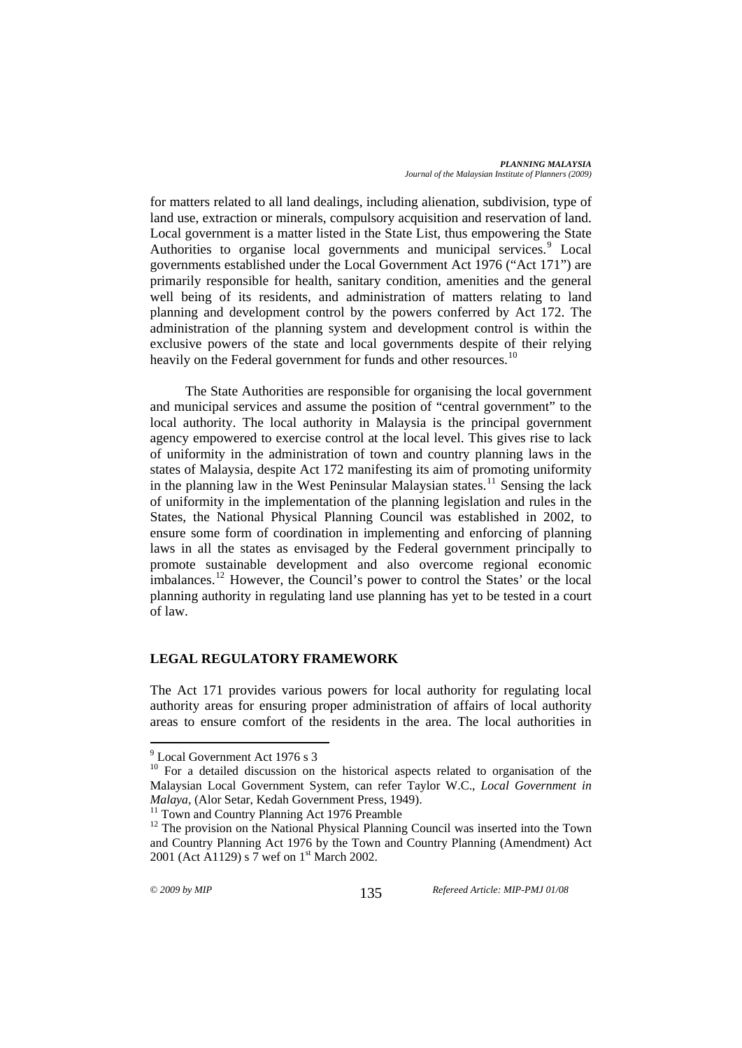*PLANNING MALAYSIA Journal of the Malaysian Institute of Planners (2009)* 

for matters related to all land dealings, including alienation, subdivision, type of land use, extraction or minerals, compulsory acquisition and reservation of land. Local government is a matter listed in the State List, thus empowering the State Authorities to organise local governments and municipal services.<sup>[9](#page-2-0)</sup> Local governments established under the Local Government Act 1976 ("Act 171") are primarily responsible for health, sanitary condition, amenities and the general well being of its residents, and administration of matters relating to land planning and development control by the powers conferred by Act 172. The administration of the planning system and development control is within the exclusive powers of the state and local governments despite of their relying heavily on the Federal government for funds and other resources.<sup>[10](#page-2-1)</sup>

The State Authorities are responsible for organising the local government and municipal services and assume the position of "central government" to the local authority. The local authority in Malaysia is the principal government agency empowered to exercise control at the local level. This gives rise to lack of uniformity in the administration of town and country planning laws in the states of Malaysia, despite Act 172 manifesting its aim of promoting uniformity in the planning law in the West Peninsular Malaysian states.<sup>[11](#page-2-2)</sup> Sensing the lack of uniformity in the implementation of the planning legislation and rules in the States, the National Physical Planning Council was established in 2002, to ensure some form of coordination in implementing and enforcing of planning laws in all the states as envisaged by the Federal government principally to promote sustainable development and also overcome regional economic  $\frac{1}{2}$  imbalances.<sup>[12](#page-2-3)</sup> However, the Council's power to control the States' or the local planning authority in regulating land use planning has yet to be tested in a court of law.

### **LEGAL REGULATORY FRAMEWORK**

The Act 171 provides various powers for local authority for regulating local authority areas for ensuring proper administration of affairs of local authority areas to ensure comfort of the residents in the area. The local authorities in

<sup>&</sup>lt;sup>9</sup> Local Government Act 1976 s 3

<span id="page-2-1"></span><span id="page-2-0"></span><sup>&</sup>lt;sup>10</sup> For a detailed discussion on the historical aspects related to organisation of the Malaysian Local Government System, can refer Taylor W.C., *Local Government in Malaya, (Alor Setar, Kedah Government Press, 1949).*<sup>11</sup> Town and Country Planning Act 1976 Preamble

<span id="page-2-3"></span><span id="page-2-2"></span><sup>&</sup>lt;sup>12</sup> The provision on the National Physical Planning Council was inserted into the Town and Country Planning Act 1976 by the Town and Country Planning (Amendment) Act 2001 (Act A1129) s 7 wef on 1<sup>st</sup> March 2002.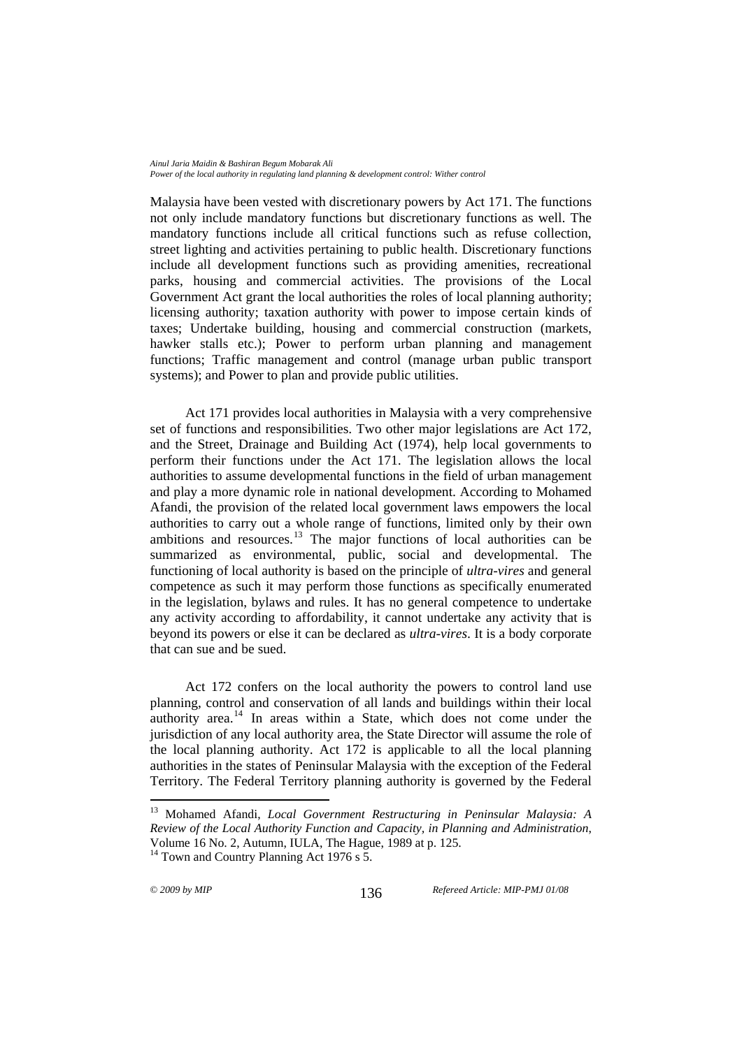Malaysia have been vested with discretionary powers by Act 171. The functions not only include mandatory functions but discretionary functions as well. The mandatory functions include all critical functions such as refuse collection, street lighting and activities pertaining to public health. Discretionary functions include all development functions such as providing amenities, recreational parks, housing and commercial activities. The provisions of the Local Government Act grant the local authorities the roles of local planning authority; licensing authority; taxation authority with power to impose certain kinds of taxes; Undertake building, housing and commercial construction (markets, hawker stalls etc.); Power to perform urban planning and management functions; Traffic management and control (manage urban public transport systems); and Power to plan and provide public utilities.

Act 171 provides local authorities in Malaysia with a very comprehensive set of functions and responsibilities. Two other major legislations are Act 172, and the Street, Drainage and Building Act (1974), help local governments to perform their functions under the Act 171. The legislation allows the local authorities to assume developmental functions in the field of urban management and play a more dynamic role in national development. According to Mohamed Afandi, the provision of the related local government laws empowers the local authorities to carry out a whole range of functions, limited only by their own ambitions and resources. $13$  The major functions of local authorities can be summarized as environmental, public, social and developmental. The functioning of local authority is based on the principle of *ultra-vires* and general competence as such it may perform those functions as specifically enumerated in the legislation, bylaws and rules. It has no general competence to undertake any activity according to affordability, it cannot undertake any activity that is beyond its powers or else it can be declared as *ultra-vires*. It is a body corporate that can sue and be sued.

Act 172 confers on the local authority the powers to control land use planning, control and conservation of all lands and buildings within their local  $\overline{a}$  authority area.<sup>[14](#page-3-1)</sup> In areas within a State, which does not come under the jurisdiction of any local authority area, the State Director will assume the role of the local planning authority. Act 172 is applicable to all the local planning authorities in the states of Peninsular Malaysia with the exception of the Federal Territory. The Federal Territory planning authority is governed by the Federal

<span id="page-3-0"></span><sup>13</sup> Mohamed Afandi, *Local Government Restructuring in Peninsular Malaysia: A Review of the Local Authority Function and Capacity, in Planning and Administration*, Volume 16 No. 2, Autumn, IULA, The Hague, 1989 at p. 125.

<span id="page-3-1"></span><sup>&</sup>lt;sup>14</sup> Town and Country Planning Act 1976 s  $\bar{5}$ .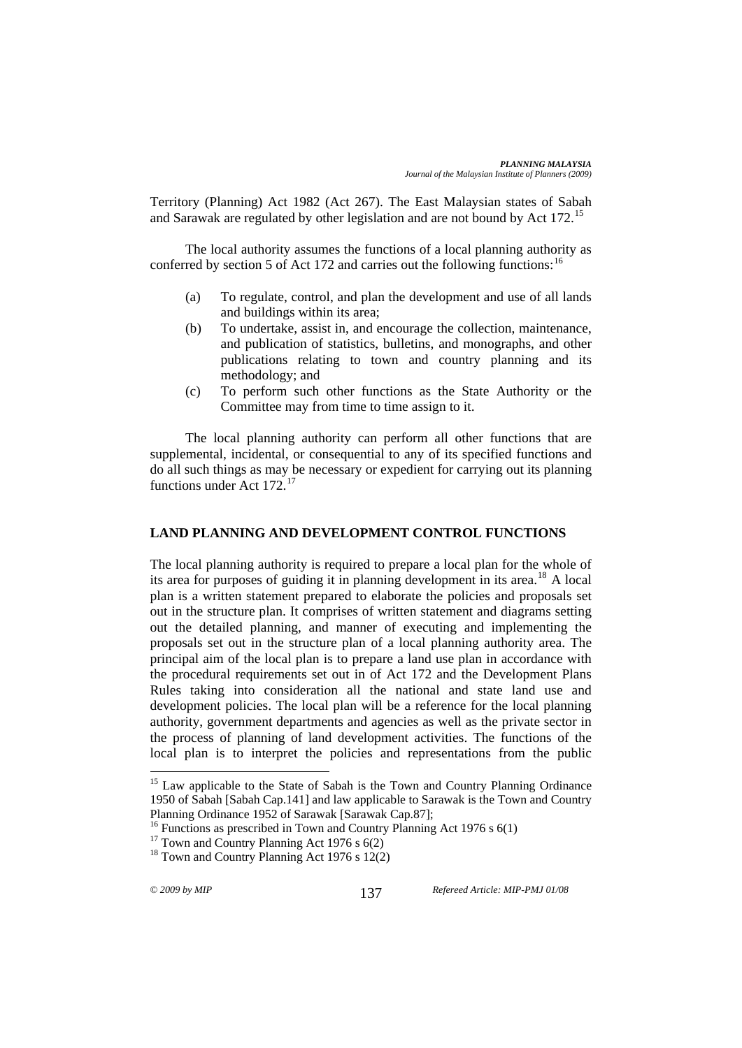Territory (Planning) Act 1982 (Act 267). The East Malaysian states of Sabah and Sarawak are regulated by other legislation and are not bound by Act 172.<sup>[15](#page-4-0)</sup>

The local authority assumes the functions of a local planning authority as conferred by section 5 of Act 172 and carries out the following functions:  $16$ 

- (a) To regulate, control, and plan the development and use of all lands and buildings within its area;
- (b) To undertake, assist in, and encourage the collection, maintenance, and publication of statistics, bulletins, and monographs, and other publications relating to town and country planning and its methodology; and
- (c) To perform such other functions as the State Authority or the Committee may from time to time assign to it.

The local planning authority can perform all other functions that are supplemental, incidental, or consequential to any of its specified functions and do all such things as may be necessary or expedient for carrying out its planning functions under Act 172.[17](#page-4-2)

### **LAND PLANNING AND DEVELOPMENT CONTROL FUNCTIONS**

The local planning authority is required to prepare a local plan for the whole of its area for purposes of guiding it in planning development in its area.[18](#page-4-3) A local plan is a written statement prepared to elaborate the policies and proposals set out in the structure plan. It comprises of written statement and diagrams setting out the detailed planning, and manner of executing and implementing the proposals set out in the structure plan of a local planning authority area. The principal aim of the local plan is to prepare a land use plan in accordance with the procedural requirements set out in of Act 172 and the Development Plans Rules taking into consideration all the national and state land use and development policies. The local plan will be a reference for the local planning authority, government departments and agencies as well as the private sector in the process of planning of land development activities. The functions of the local plan is to interpret the policies and representations from the public

<span id="page-4-0"></span><sup>&</sup>lt;sup>15</sup> Law applicable to the State of Sabah is the Town and Country Planning Ordinance 1950 of Sabah [Sabah Cap.141] and law applicable to Sarawak is the Town and Country Planning Ordinance 1952 of Sarawak [Sarawak Cap.87];

<span id="page-4-1"></span><sup>&</sup>lt;sup>16</sup> Functions as prescribed in Town and Country Planning Act 1976 s  $6(1)$ 

<span id="page-4-2"></span><sup>&</sup>lt;sup>17</sup> Town and Country Planning Act 1976 s  $6(2)$ 

<span id="page-4-3"></span> $18$  Town and Country Planning Act 1976 s 12(2)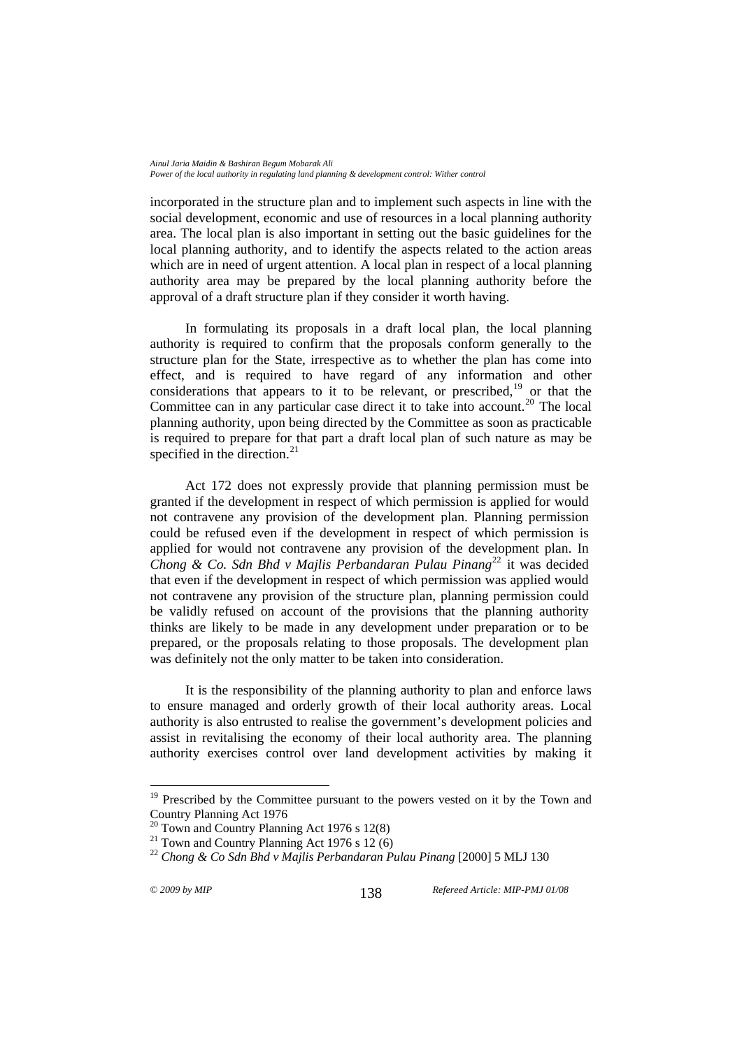incorporated in the structure plan and to implement such aspects in line with the social development, economic and use of resources in a local planning authority area. The local plan is also important in setting out the basic guidelines for the local planning authority, and to identify the aspects related to the action areas which are in need of urgent attention. A local plan in respect of a local planning authority area may be prepared by the local planning authority before the approval of a draft structure plan if they consider it worth having.

In formulating its proposals in a draft local plan, the local planning authority is required to confirm that the proposals conform generally to the structure plan for the State, irrespective as to whether the plan has come into effect, and is required to have regard of any information and other considerations that appears to it to be relevant, or prescribed, $19$  or that the Committee can in any particular case direct it to take into account.<sup>[20](#page-5-1)</sup> The local planning authority, upon being directed by the Committee as soon as practicable is required to prepare for that part a draft local plan of such nature as may be specified in the direction. $21$ 

Act 172 does not expressly provide that planning permission must be granted if the development in respect of which permission is applied for would not contravene any provision of the development plan. Planning permission could be refused even if the development in respect of which permission is applied for would not contravene any provision of the development plan. In *Chong & Co. Sdn Bhd v Majlis Perbandaran Pulau Pinang*[22](#page-5-3) it was decided that even if the development in respect of which permission was applied would not contravene any provision of the structure plan, planning permission could be validly refused on account of the provisions that the planning authority thinks are likely to be made in any development under preparation or to be prepared, or the proposals relating to those proposals. The development plan was definitely not the only matter to be taken into consideration.

It is the responsibility of the planning authority to plan and enforce laws to ensure managed and orderly growth of their local authority areas. Local authority is also entrusted to realise the government's development policies and assist in revitalising the economy of their local authority area. The planning authority exercises control over land development activities by making it

<span id="page-5-0"></span><sup>&</sup>lt;sup>19</sup> Prescribed by the Committee pursuant to the powers vested on it by the Town and Country Planning Act 1976

 $20$  Town and Country Planning Act 1976 s 12(8)

<span id="page-5-2"></span><span id="page-5-1"></span><sup>&</sup>lt;sup>21</sup> Town and Country Planning Act 1976 s 12 (6)

<span id="page-5-3"></span><sup>&</sup>lt;sup>22</sup> *Chong & Co Sdn Bhd v Majlis Perbandaran Pulau Pinang* [2000] 5 MLJ 130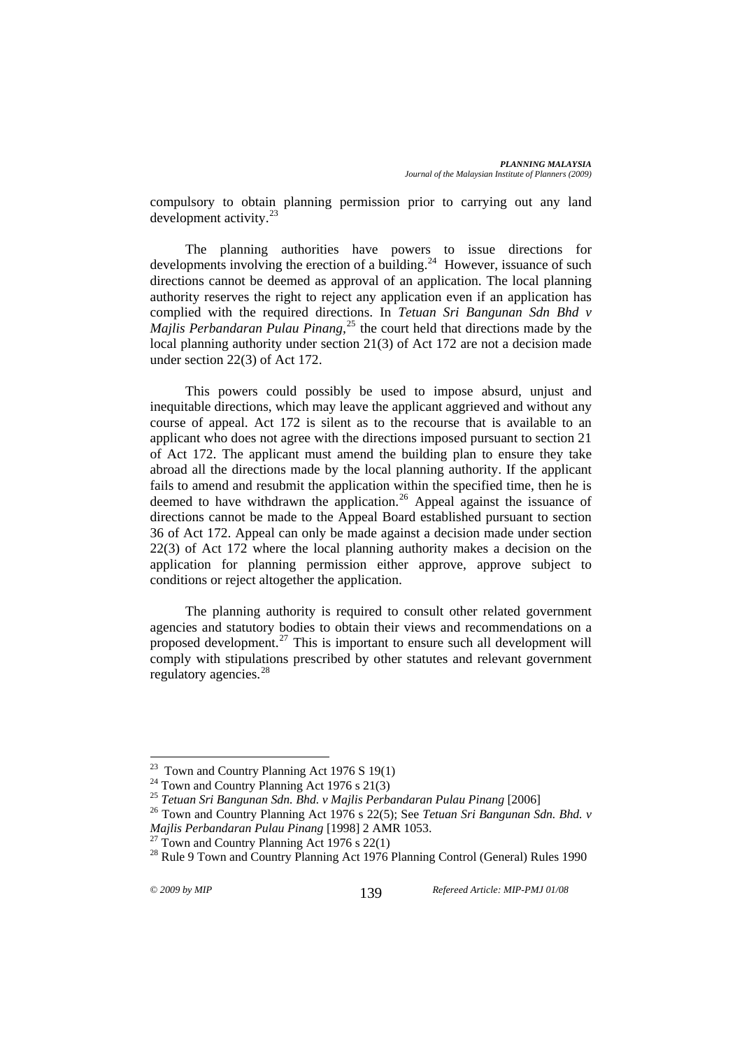compulsory to obtain planning permission prior to carrying out any land development activity.<sup>2</sup>

The planning authorities have powers to issue directions for developments involving the erection of a building.<sup>[24](#page-6-1)</sup> However, issuance of such directions cannot be deemed as approval of an application. The local planning authority reserves the right to reject any application even if an application has complied with the required directions. In *Tetuan Sri Bangunan Sdn Bhd v Majlis Perbandaran Pulau Pinang*<sup>[25](#page-6-2)</sup> the court held that directions made by the local planning authority under section 21(3) of Act 172 are not a decision made under section 22(3) of Act 172.

This powers could possibly be used to impose absurd, unjust and inequitable directions, which may leave the applicant aggrieved and without any course of appeal. Act 172 is silent as to the recourse that is available to an applicant who does not agree with the directions imposed pursuant to section 21 of Act 172. The applicant must amend the building plan to ensure they take abroad all the directions made by the local planning authority. If the applicant fails to amend and resubmit the application within the specified time, then he is deemed to have withdrawn the application.<sup>[26](#page-6-3)</sup> Appeal against the issuance of directions cannot be made to the Appeal Board established pursuant to section 36 of Act 172. Appeal can only be made against a decision made under section 22(3) of Act 172 where the local planning authority makes a decision on the application for planning permission either approve, approve subject to conditions or reject altogether the application.

The planning authority is required to consult other related government agencies and statutory bodies to obtain their views and recommendations on a proposed development.<sup>[27](#page-6-4)</sup> This is important to ensure such all development will comply with stipulations prescribed by other statutes and relevant government regulatory agencies.[28](#page-6-5)

 $^{23}$  Town and Country Planning Act 1976 S 19(1)

<span id="page-6-1"></span><span id="page-6-0"></span><sup>&</sup>lt;sup>24</sup> Town and Country Planning Act 1976 s  $21(3)$ <br><sup>25</sup> Tetuan Sri Bangunan Sdn. Bhd. v Majlis Perbandaran Pulau Pinang [2006]

<span id="page-6-3"></span><span id="page-6-2"></span><sup>&</sup>lt;sup>26</sup> Town and Country Planning Act 1976 s 22(5); See *Tetuan Sri Bangunan Sdn. Bhd. v Mailis Perbandaran Pulau Pinang* [1998] 2 AMR 1053.

<sup>&</sup>lt;sup>27</sup> Town and Country Planning Act 1976 s 22(1)

<span id="page-6-5"></span><span id="page-6-4"></span><sup>&</sup>lt;sup>28</sup> Rule 9 Town and Country Planning Act 1976 Planning Control (General) Rules 1990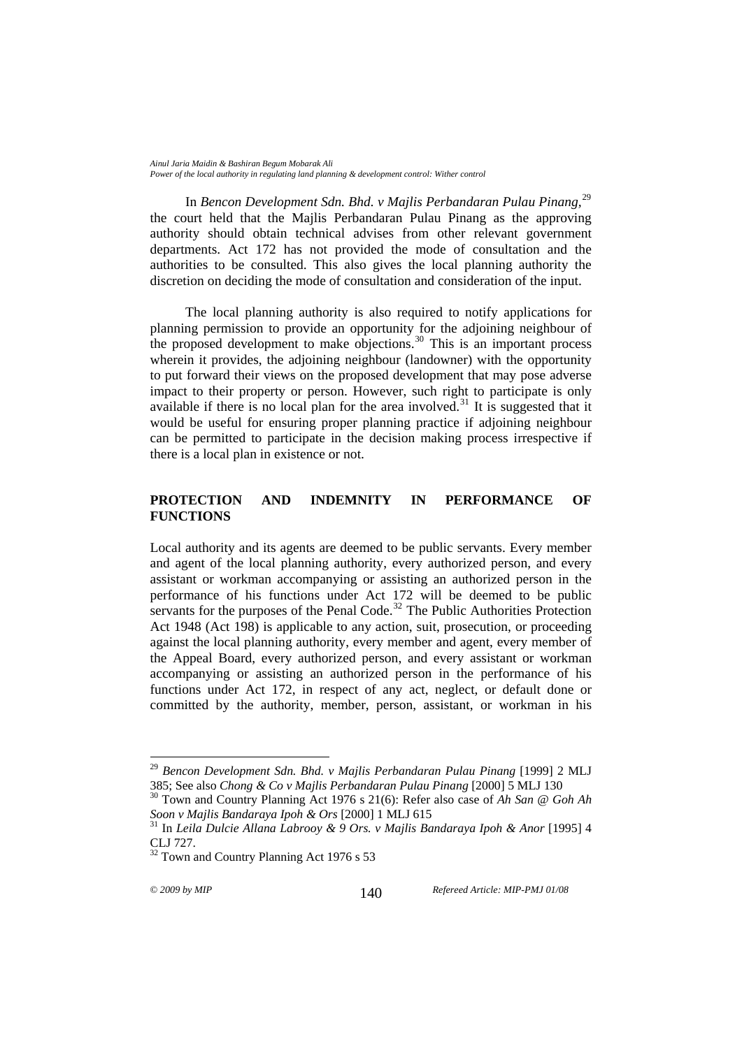In *Bencon Development Sdn. Bhd. v Majlis Perbandaran Pulau Pinang,*[29](#page-7-0) the court held that the Majlis Perbandaran Pulau Pinang as the approving authority should obtain technical advises from other relevant government departments. Act 172 has not provided the mode of consultation and the authorities to be consulted. This also gives the local planning authority the discretion on deciding the mode of consultation and consideration of the input.

The local planning authority is also required to notify applications for planning permission to provide an opportunity for the adjoining neighbour of the proposed development to make objections.<sup>[30](#page-7-1)</sup> This is an important process wherein it provides, the adjoining neighbour (landowner) with the opportunity to put forward their views on the proposed development that may pose adverse impact to their property or person. However, such right to participate is only available if there is no local plan for the area involved.<sup>[31](#page-7-2)</sup> It is suggested that it would be useful for ensuring proper planning practice if adjoining neighbour can be permitted to participate in the decision making process irrespective if there is a local plan in existence or not.

### **PROTECTION AND INDEMNITY IN PERFORMANCE OF FUNCTIONS**

Local authority and its agents are deemed to be public servants. Every member and agent of the local planning authority, every authorized person, and every assistant or workman accompanying or assisting an authorized person in the performance of his functions under Act 172 will be deemed to be public servants for the purposes of the Penal Code.<sup>[32](#page-7-3)</sup> The Public Authorities Protection Act 1948 (Act 198) is applicable to any action, suit, prosecution, or proceeding against the local planning authority, every member and agent, every member of the Appeal Board, every authorized person, and every assistant or workman accompanying or assisting an authorized person in the performance of his functions under Act 172, in respect of any act, neglect, or default done or committed by the authority, member, person, assistant, or workman in his

<span id="page-7-0"></span><sup>&</sup>lt;sup>29</sup> Bencon Development Sdn. Bhd. v Majlis Perbandaran Pulau Pinang [1999] 2 MLJ<br>385: See also Chong & Co v Majlis Perbandaran Pulau Pinang [2000] 5 MLJ 130

<span id="page-7-1"></span><sup>&</sup>lt;sup>30</sup> Town and Country Planning Act 1976 s 21(6): Refer also case of *Ah San @ Goh Ah Soon v Majlis Bandaraya Ipoh & Ors* [2000] 1 MLJ 615<br><sup>31</sup> In *Leila Dulcie Allana Labrooy & 9 Ors. v Majlis Bandaraya Ipoh & Anor* [1995] 4

<span id="page-7-2"></span>CLJ 727.

<span id="page-7-3"></span><sup>&</sup>lt;sup>32</sup> Town and Country Planning Act 1976 s 53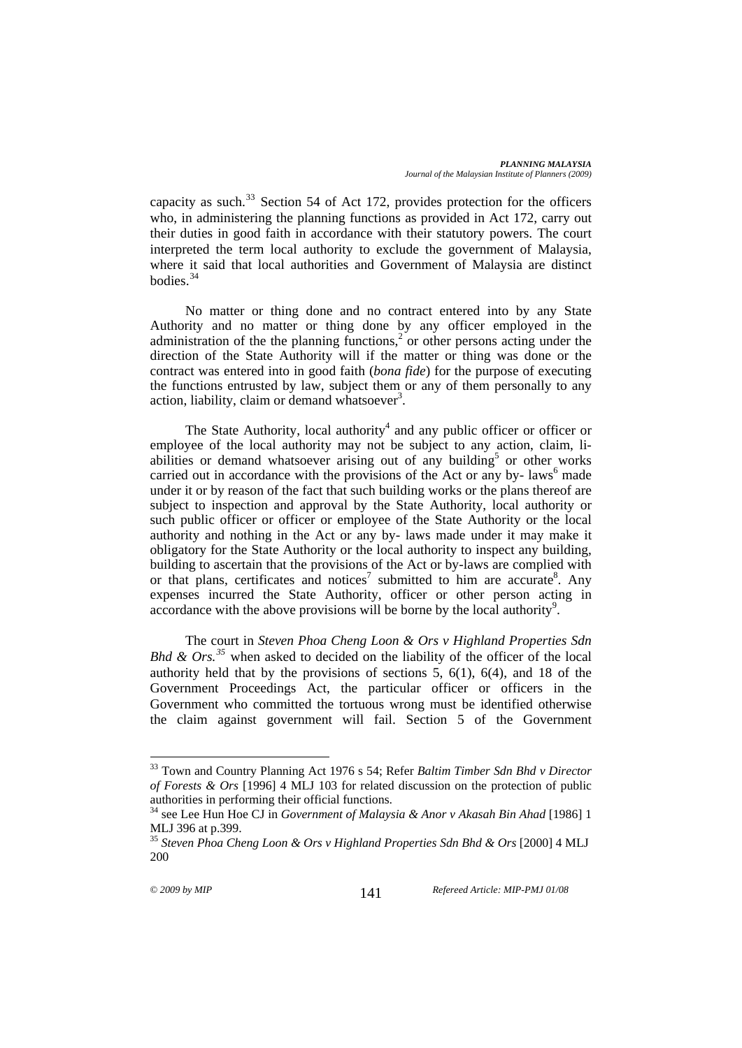capacity as such.<sup>[33](#page-8-0)</sup> Section 54 of Act 172, provides protection for the officers who, in administering the planning functions as provided in Act 172, carry out their duties in good faith in accordance with their statutory powers. The court interpreted the term local authority to exclude the government of Malaysia, where it said that local authorities and Government of Malaysia are distinct bodies<sup>[34](#page-8-1)</sup>

No matter or thing done and no contract entered into by any State Authority and no matter or thing done by any officer employed in the administration of the the planning functions,<sup>2</sup> or other persons acting under the direction of the State Authority will if the matter or thing was done or the contract was entered into in good faith (*bona fide*) for the purpose of executing the functions entrusted by law, subject them or any of them personally to any action, liability, claim or demand whatsoever<sup>3</sup>.

The State Authority, local authority<sup>4</sup> and any public officer or officer or employee of the local authority may not be subject to any action, claim, liabilities or demand whatsoever arising out of any building<sup>5</sup> or other works carried out in accordance with the provisions of the Act or any by- laws $<sup>6</sup>$  made</sup> under it or by reason of the fact that such building works or the plans thereof are subject to inspection and approval by the State Authority, local authority or such public officer or officer or employee of the State Authority or the local authority and nothing in the Act or any by- laws made under it may make it obligatory for the State Authority or the local authority to inspect any building, building to ascertain that the provisions of the Act or by-laws are complied with or that plans, certificates and notices<sup>7</sup> submitted to him are accurate<sup>8</sup>. Any expenses incurred the State Authority, officer or other person acting in  $\alpha$  accordance with the above provisions will be borne by the local authority<sup>9</sup>.

The court in *Steven Phoa Cheng Loon & Ors v Highland Properties Sdn Bhd & Ors.*<sup>[35](#page-8-2)</sup> when asked to decided on the liability of the officer of the local authority held that by the provisions of sections  $5, 6(1), 6(4)$ , and 18 of the Government Proceedings Act, the particular officer or officers in the Government who committed the tortuous wrong must be identified otherwise the claim against government will fail. Section 5 of the Government

<span id="page-8-0"></span><sup>33</sup> Town and Country Planning Act 1976 s 54; Refer *Baltim Timber Sdn Bhd v Director of Forests & Ors* [1996] 4 MLJ 103 for related discussion on the protection of public authorities in performing their official functions.

<span id="page-8-1"></span><sup>34</sup> see Lee Hun Hoe CJ in *Government of Malaysia & Anor v Akasah Bin Ahad* [1986] 1 MLJ 396 at p.399.

<span id="page-8-2"></span><sup>&</sup>lt;sup>35</sup> Steven Phoa Cheng Loon & Ors v Highland Properties Sdn Bhd & Ors [2000] 4 MLJ 200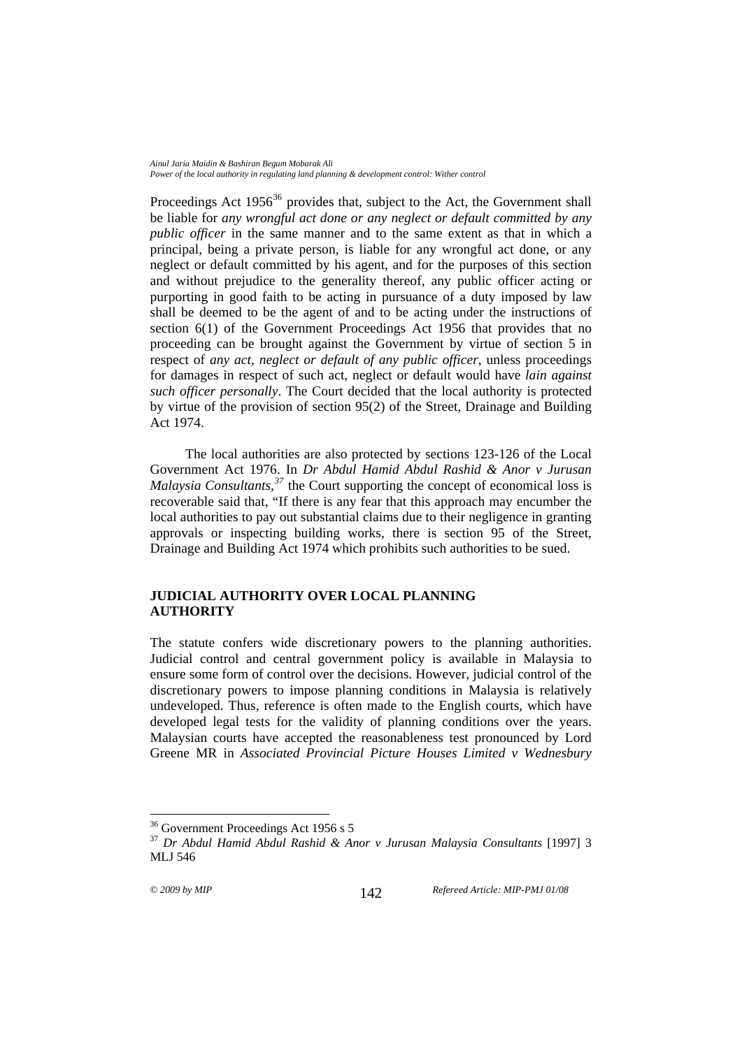Proceedings Act  $1956^{36}$  $1956^{36}$  $1956^{36}$  provides that, subject to the Act, the Government shall be liable for *any wrongful act done or any neglect or default committed by any public officer* in the same manner and to the same extent as that in which a principal, being a private person, is liable for any wrongful act done, or any neglect or default committed by his agent, and for the purposes of this section and without prejudice to the generality thereof, any public officer acting or purporting in good faith to be acting in pursuance of a duty imposed by law shall be deemed to be the agent of and to be acting under the instructions of section 6(1) of the Government Proceedings Act 1956 that provides that no proceeding can be brought against the Government by virtue of section 5 in respect of *any act, neglect or default of any public officer*, unless proceedings for damages in respect of such act, neglect or default would have *lain against such officer personally*. The Court decided that the local authority is protected by virtue of the provision of section 95(2) of the Street, Drainage and Building Act 1974.

The local authorities are also protected by sections 123-126 of the Local Government Act 1976. In *Dr Abdul Hamid Abdul Rashid & Anor v Jurusan Malaysia Consultants,[37](#page-9-1)* the Court supporting the concept of economical loss is recoverable said that, "If there is any fear that this approach may encumber the local authorities to pay out substantial claims due to their negligence in granting approvals or inspecting building works, there is section 95 of the Street, Drainage and Building Act 1974 which prohibits such authorities to be sued.

## **JUDICIAL AUTHORITY OVER LOCAL PLANNING AUTHORITY**

The statute confers wide discretionary powers to the planning authorities. Judicial control and central government policy is available in Malaysia to ensure some form of control over the decisions. However, judicial control of the discretionary powers to impose planning conditions in Malaysia is relatively undeveloped. Thus, reference is often made to the English courts, which have developed legal tests for the validity of planning conditions over the years. Malaysian courts have accepted the reasonableness test pronounced by Lord Greene MR in *Associated Provincial Picture Houses Limited v Wednesbury* 

<sup>&</sup>lt;sup>36</sup> Government Proceedings Act 1956 s 5

<span id="page-9-1"></span><span id="page-9-0"></span><sup>37</sup> *Dr Abdul Hamid Abdul Rashid & Anor v Jurusan Malaysia Consultants* [1997] 3 MLJ 546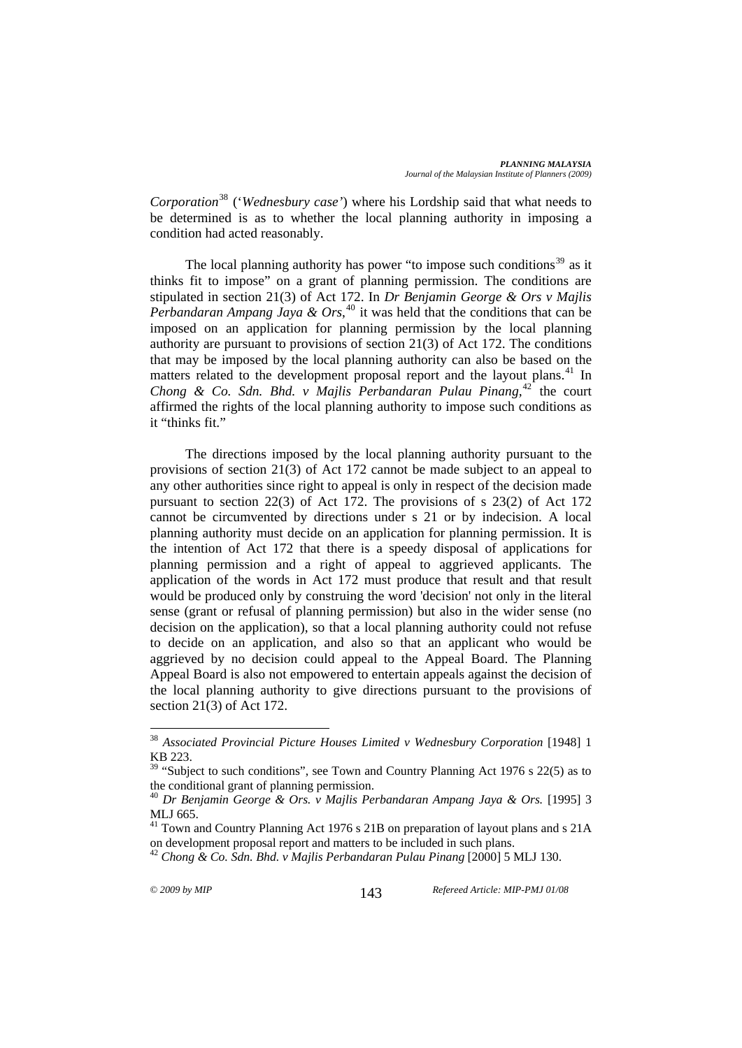*Corporation*[38](#page-10-0) ('*Wednesbury case'*) where his Lordship said that what needs to be determined is as to whether the local planning authority in imposing a condition had acted reasonably.

The local planning authority has power "to impose such conditions<sup>[39](#page-10-1)</sup> as it thinks fit to impose" on a grant of planning permission. The conditions are stipulated in section 21(3) of Act 172. In *Dr Benjamin George & Ors v Majlis Perbandaran Ampang Jaya & Ors*, [40](#page-10-2) it was held that the conditions that can be imposed on an application for planning permission by the local planning authority are pursuant to provisions of section 21(3) of Act 172. The conditions that may be imposed by the local planning authority can also be based on the matters related to the development proposal report and the layout plans.<sup>[41](#page-10-3)</sup> In *Chong & Co. Sdn. Bhd. v Majlis Perbandaran Pulau Pinang,*[42](#page-10-4) the court affirmed the rights of the local planning authority to impose such conditions as it "thinks fit."

The directions imposed by the local planning authority pursuant to the provisions of section 21(3) of Act 172 cannot be made subject to an appeal to any other authorities since right to appeal is only in respect of the decision made pursuant to section 22(3) of Act 172. The provisions of s 23(2) of Act 172 cannot be circumvented by directions under s 21 or by indecision. A local planning authority must decide on an application for planning permission. It is the intention of Act 172 that there is a speedy disposal of applications for planning permission and a right of appeal to aggrieved applicants. The application of the words in Act 172 must produce that result and that result would be produced only by construing the word 'decision' not only in the literal sense (grant or refusal of planning permission) but also in the wider sense (no decision on the application), so that a local planning authority could not refuse to decide on an application, and also so that an applicant who would be aggrieved by no decision could appeal to the Appeal Board. The Planning Appeal Board is also not empowered to entertain appeals against the decision of the local planning authority to give directions pursuant to the provisions of section 21(3) of Act 172.

<span id="page-10-0"></span><sup>38</sup> *Associated Provincial Picture Houses Limited v Wednesbury Corporation* [1948] 1 KB 223.

<span id="page-10-1"></span><sup>&</sup>lt;sup>39</sup> "Subject to such conditions", see Town and Country Planning Act 1976 s 22(5) as to the conditional grant of planning permission.

<span id="page-10-2"></span><sup>40</sup> *Dr Benjamin George & Ors. v Majlis Perbandaran Ampang Jaya & Ors.* [1995] 3 MLJ 665.

<span id="page-10-3"></span><sup>&</sup>lt;sup>41</sup> Town and Country Planning Act 1976 s 21B on preparation of layout plans and s 21A on development proposal report and matters to be included in such plans.

<span id="page-10-4"></span><sup>42</sup> *Chong & Co. Sdn. Bhd. v Majlis Perbandaran Pulau Pinang* [2000] 5 MLJ 130.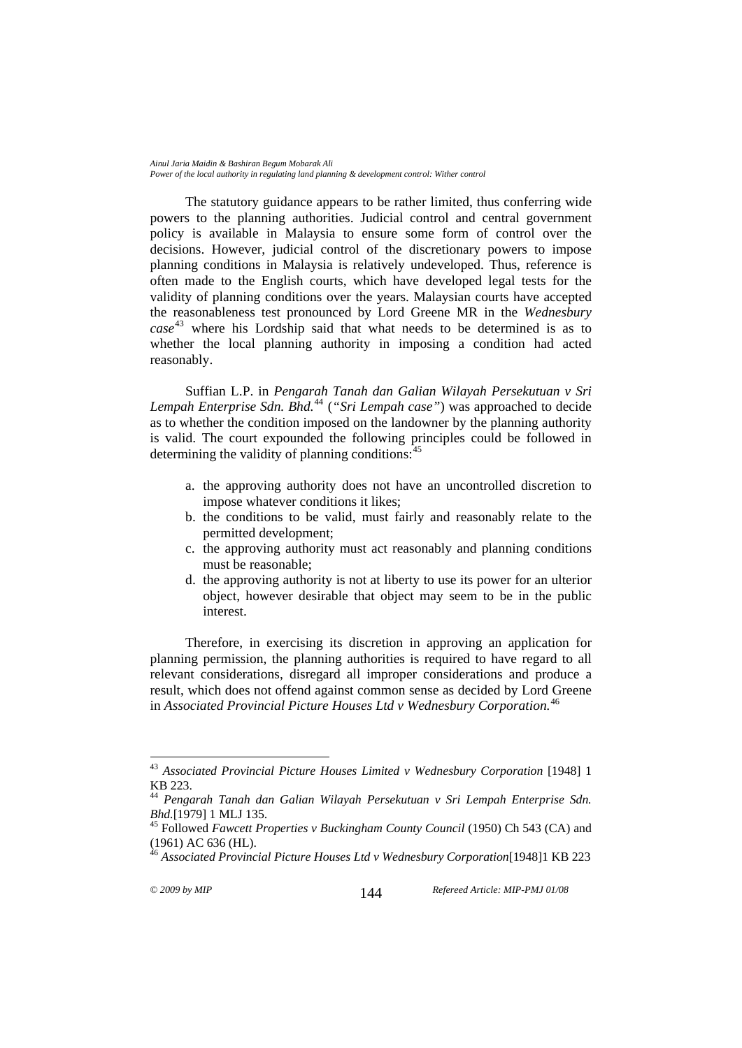The statutory guidance appears to be rather limited, thus conferring wide powers to the planning authorities. Judicial control and central government policy is available in Malaysia to ensure some form of control over the decisions. However, judicial control of the discretionary powers to impose planning conditions in Malaysia is relatively undeveloped. Thus, reference is often made to the English courts, which have developed legal tests for the validity of planning conditions over the years. Malaysian courts have accepted the reasonableness test pronounced by Lord Greene MR in the *Wednesbury case* [43](#page-11-0) where his Lordship said that what needs to be determined is as to whether the local planning authority in imposing a condition had acted reasonably.

Suffian L.P. in *Pengarah Tanah dan Galian Wilayah Persekutuan v Sri Lempah Enterprise Sdn. Bhd.*[44](#page-11-1) (*"Sri Lempah case"*) was approached to decide as to whether the condition imposed on the landowner by the planning authority is valid. The court expounded the following principles could be followed in determining the validity of planning conditions:  $45$ 

- a. the approving authority does not have an uncontrolled discretion to impose whatever conditions it likes;
- b. the conditions to be valid, must fairly and reasonably relate to the permitted development;
- c. the approving authority must act reasonably and planning conditions must be reasonable;
- d. the approving authority is not at liberty to use its power for an ulterior object, however desirable that object may seem to be in the public interest.

Therefore, in exercising its discretion in approving an application for planning permission, the planning authorities is required to have regard to all relevant considerations, disregard all improper considerations and produce a result, which does not offend against common sense as decided by Lord Greene in *Associated Provincial Picture Houses Ltd v Wednesbury Corporation.*[46](#page-11-3)

<span id="page-11-0"></span><sup>43</sup> *Associated Provincial Picture Houses Limited v Wednesbury Corporation* [1948] 1 KB 223.

<span id="page-11-1"></span><sup>44</sup> *Pengarah Tanah dan Galian Wilayah Persekutuan v Sri Lempah Enterprise Sdn. Bhd.*[1979] 1 MLJ 135.<br><sup>45</sup> Followed *Fawcett Properties v Buckingham County Council* (1950) Ch 543 (CA) and

<span id="page-11-2"></span><sup>(1961)</sup> AC 636 (HL).

<span id="page-11-3"></span><sup>46</sup> *Associated Provincial Picture Houses Ltd v Wednesbury Corporation*[1948]1 KB 223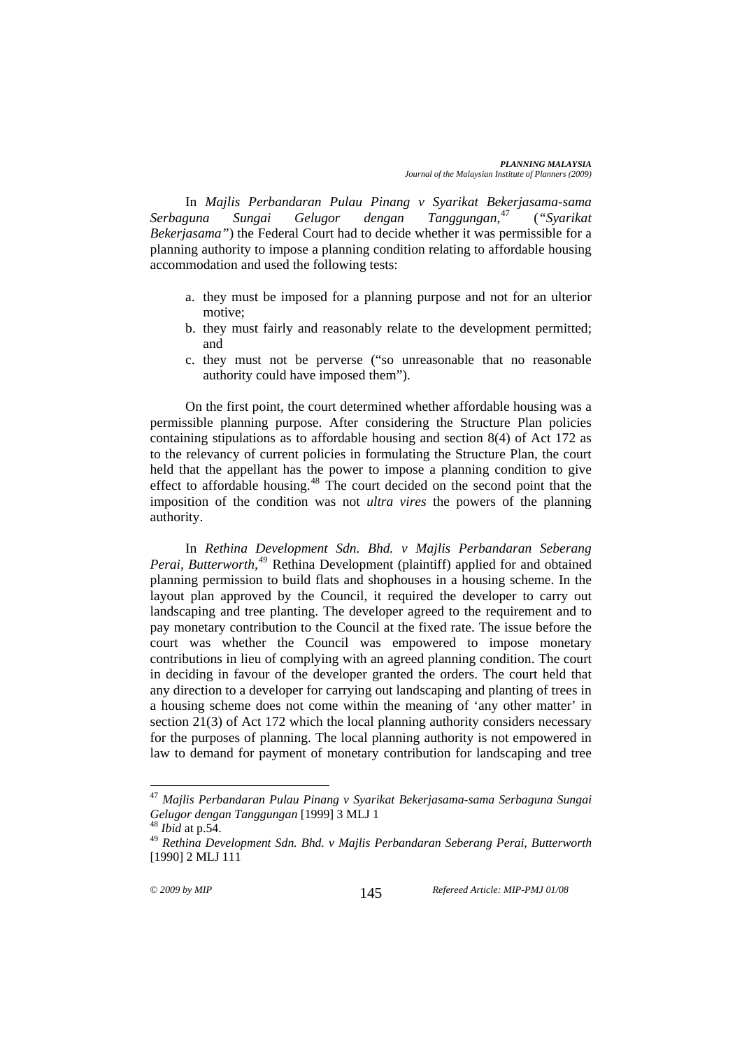In *Majlis Perbandaran Pulau Pinang v Syarikat Bekerjasama-sama Serbaguna Sungai Gelugor dengan Tanggungan,*[47](#page-12-0) (*"Syarikat Bekerjasama"*) the Federal Court had to decide whether it was permissible for a planning authority to impose a planning condition relating to affordable housing accommodation and used the following tests:

- a. they must be imposed for a planning purpose and not for an ulterior motive;
- b. they must fairly and reasonably relate to the development permitted; and
- c. they must not be perverse ("so unreasonable that no reasonable authority could have imposed them").

On the first point, the court determined whether affordable housing was a permissible planning purpose. After considering the Structure Plan policies containing stipulations as to affordable housing and section 8(4) of Act 172 as to the relevancy of current policies in formulating the Structure Plan, the court held that the appellant has the power to impose a planning condition to give effect to affordable housing.<sup>[48](#page-12-1)</sup> The court decided on the second point that the imposition of the condition was not *ultra vires* the powers of the planning authority.

In *Rethina Development Sdn. Bhd. v Majlis Perbandaran Seberang Perai, Butterworth,[49](#page-12-2)* Rethina Development (plaintiff) applied for and obtained planning permission to build flats and shophouses in a housing scheme. In the layout plan approved by the Council, it required the developer to carry out landscaping and tree planting. The developer agreed to the requirement and to pay monetary contribution to the Council at the fixed rate. The issue before the court was whether the Council was empowered to impose monetary contributions in lieu of complying with an agreed planning condition. The court in deciding in favour of the developer granted the orders. The court held that any direction to a developer for carrying out landscaping and planting of trees in a housing scheme does not come within the meaning of 'any other matter' in section 21(3) of Act 172 which the local planning authority considers necessary for the purposes of planning. The local planning authority is not empowered in law to demand for payment of monetary contribution for landscaping and tree

<span id="page-12-0"></span><sup>47</sup> *Majlis Perbandaran Pulau Pinang v Syarikat Bekerjasama-sama Serbaguna Sungai Gelugor dengan Tanggungan* [1999] 3 MLJ 1 48 *Ibid* at p.54.

<span id="page-12-2"></span><span id="page-12-1"></span><sup>49</sup> *Rethina Development Sdn. Bhd. v Majlis Perbandaran Seberang Perai, Butterworth*  [1990] 2 MLJ 111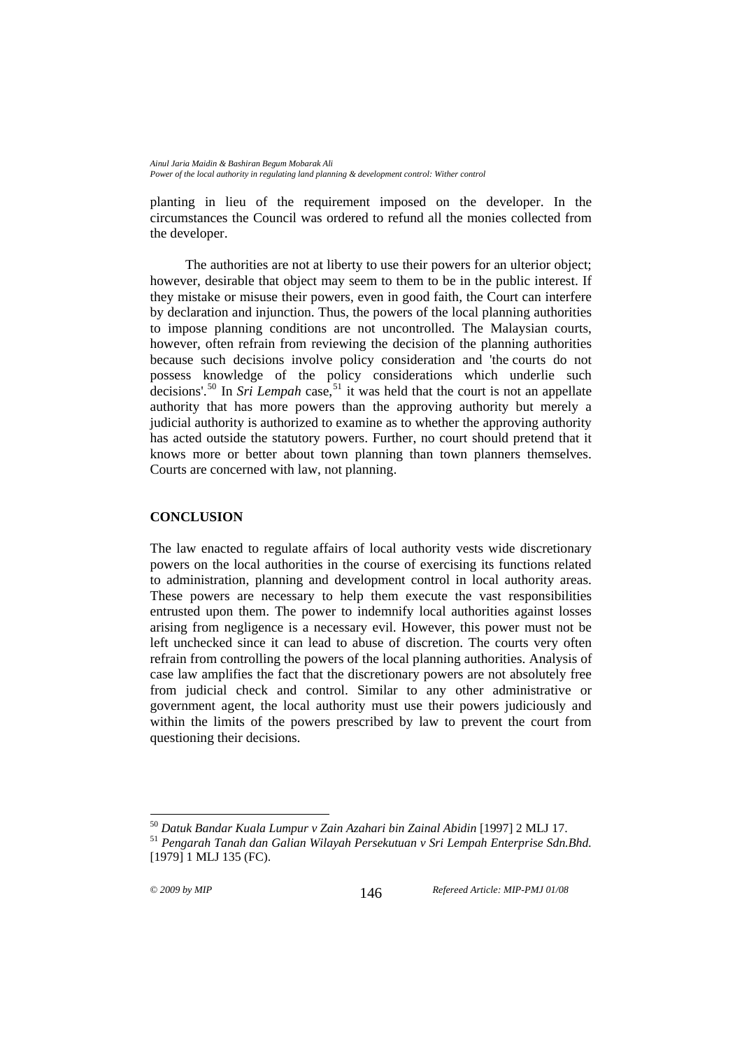planting in lieu of the requirement imposed on the developer. In the circumstances the Council was ordered to refund all the monies collected from the developer.

The authorities are not at liberty to use their powers for an ulterior object; however, desirable that object may seem to them to be in the public interest. If they mistake or misuse their powers, even in good faith*,* the Court can interfere by declaration and injunction. Thus, the powers of the local planning authorities to impose planning conditions are not uncontrolled. The Malaysian courts, however, often refrain from reviewing the decision of the planning authorities because such decisions involve policy consideration and 'the courts do not possess knowledge of the policy considerations which underlie such decisions'.<sup>[50](#page-13-0)</sup> In *Sri Lempah* case,<sup>[51](#page-13-1)</sup> it was held that the court is not an appellate authority that has more powers than the approving authority but merely a judicial authority is authorized to examine as to whether the approving authority has acted outside the statutory powers. Further, no court should pretend that it knows more or better about town planning than town planners themselves. Courts are concerned with law, not planning.

### **CONCLUSION**

The law enacted to regulate affairs of local authority vests wide discretionary powers on the local authorities in the course of exercising its functions related to administration, planning and development control in local authority areas. These powers are necessary to help them execute the vast responsibilities entrusted upon them. The power to indemnify local authorities against losses arising from negligence is a necessary evil. However, this power must not be left unchecked since it can lead to abuse of discretion. The courts very often refrain from controlling the powers of the local planning authorities. Analysis of case law amplifies the fact that the discretionary powers are not absolutely free from judicial check and control. Similar to any other administrative or government agent, the local authority must use their powers judiciously and within the limits of the powers prescribed by law to prevent the court from questioning their decisions.

<span id="page-13-0"></span><sup>50</sup> *Datuk Bandar Kuala Lumpur v Zain Azahari bin Zainal Abidin* [1997] 2 MLJ 17. 51 *Pengarah Tanah dan Galian Wilayah Persekutuan v Sri Lempah Enterprise Sdn.Bhd.* 

<span id="page-13-1"></span><sup>[1979] 1</sup> MLJ 135 (FC).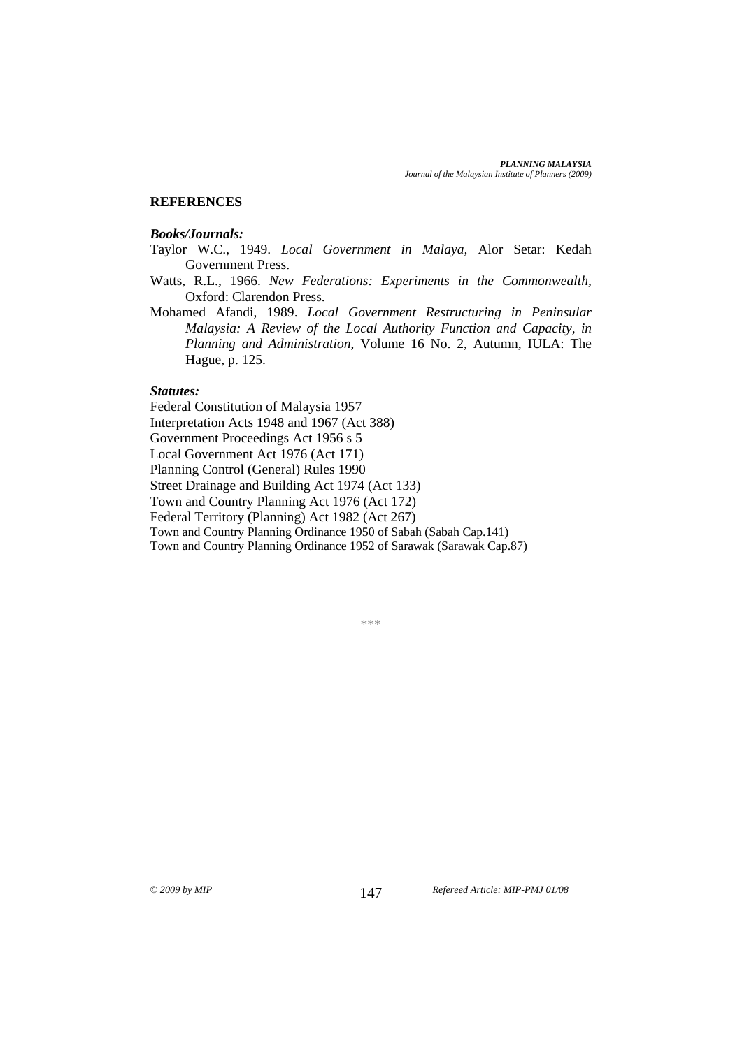### **REFERENCES**

#### *Books/Journals:*

- Taylor W.C., 1949. *Local Government in Malaya,* Alor Setar: Kedah Government Press.
- Watts, R.L., 1966. *New Federations: Experiments in the Commonwealth,* Oxford: Clarendon Press.
- Mohamed Afandi, 1989. *Local Government Restructuring in Peninsular Malaysia: A Review of the Local Authority Function and Capacity, in Planning and Administration*, Volume 16 No. 2, Autumn, IULA: The Hague, p. 125.

#### *Statutes:*

Federal Constitution of Malaysia 1957 Interpretation Acts 1948 and 1967 (Act 388) Government Proceedings Act 1956 s 5 Local Government Act 1976 (Act 171) Planning Control (General) Rules 1990 Street Drainage and Building Act 1974 (Act 133) Town and Country Planning Act 1976 (Act 172) Federal Territory (Planning) Act 1982 (Act 267) Town and Country Planning Ordinance 1950 of Sabah (Sabah Cap.141) Town and Country Planning Ordinance 1952 of Sarawak (Sarawak Cap.87)

\*\*\*

© *2009 by MIP Refereed Article: MIP-PMJ 01/08* 147